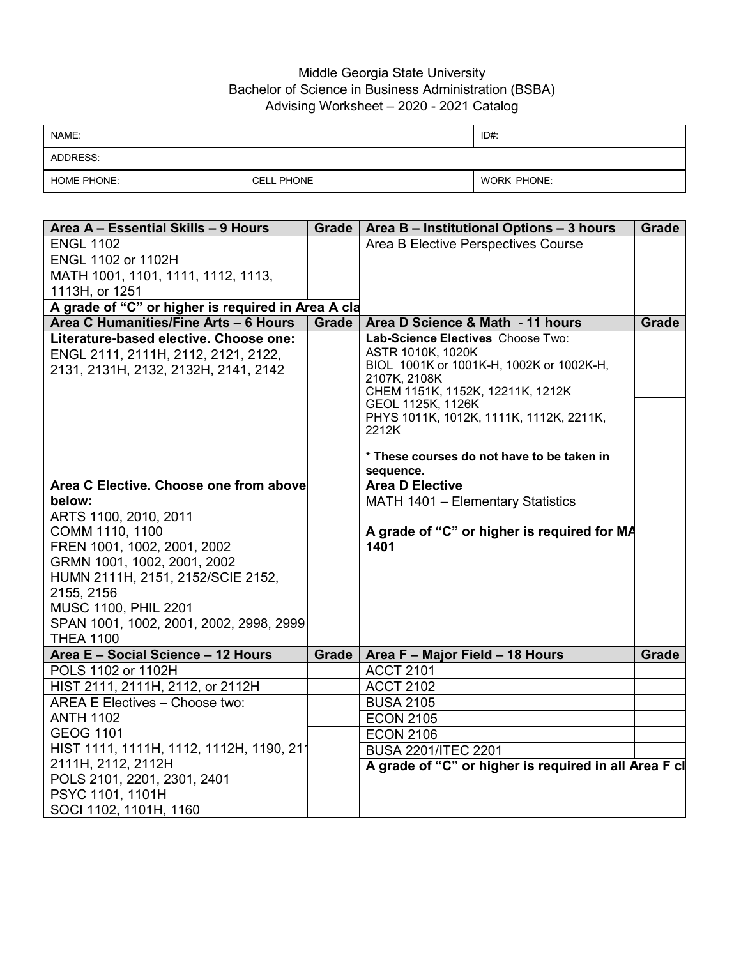## Middle Georgia State University Bachelor of Science in Business Administration (BSBA) Advising Worksheet – 2020 - 2021 Catalog

| NAME:              |                   | ID#:               |
|--------------------|-------------------|--------------------|
| ADDRESS:           |                   |                    |
| <b>HOME PHONE:</b> | <b>CELL PHONE</b> | <b>WORK PHONE:</b> |

| Area A - Essential Skills - 9 Hours                | <b>Grade</b> | Area B - Institutional Options - 3 hours                 | <b>Grade</b> |
|----------------------------------------------------|--------------|----------------------------------------------------------|--------------|
| <b>ENGL 1102</b>                                   |              | Area B Elective Perspectives Course                      |              |
| ENGL 1102 or 1102H                                 |              |                                                          |              |
| MATH 1001, 1101, 1111, 1112, 1113,                 |              |                                                          |              |
| 1113H, or 1251                                     |              |                                                          |              |
| A grade of "C" or higher is required in Area A cla |              |                                                          |              |
| Area C Humanities/Fine Arts - 6 Hours              | <b>Grade</b> | Area D Science & Math - 11 hours                         | Grade        |
| Literature-based elective. Choose one:             |              | Lab-Science Electives Choose Two:                        |              |
| ENGL 2111, 2111H, 2112, 2121, 2122,                |              | ASTR 1010K, 1020K                                        |              |
| 2131, 2131H, 2132, 2132H, 2141, 2142               |              | BIOL 1001K or 1001K-H, 1002K or 1002K-H,<br>2107K, 2108K |              |
|                                                    |              | CHEM 1151K, 1152K, 12211K, 1212K                         |              |
|                                                    |              | GEOL 1125K, 1126K                                        |              |
|                                                    |              | PHYS 1011K, 1012K, 1111K, 1112K, 2211K,                  |              |
|                                                    |              | 2212K                                                    |              |
|                                                    |              | * These courses do not have to be taken in               |              |
|                                                    |              | sequence.                                                |              |
| Area C Elective. Choose one from above             |              | <b>Area D Elective</b>                                   |              |
| below:                                             |              | MATH 1401 - Elementary Statistics                        |              |
| ARTS 1100, 2010, 2011                              |              |                                                          |              |
| COMM 1110, 1100                                    |              | A grade of "C" or higher is required for MA              |              |
| FREN 1001, 1002, 2001, 2002                        |              | 1401                                                     |              |
| GRMN 1001, 1002, 2001, 2002                        |              |                                                          |              |
| HUMN 2111H, 2151, 2152/SCIE 2152,                  |              |                                                          |              |
| 2155, 2156                                         |              |                                                          |              |
| MUSC 1100, PHIL 2201                               |              |                                                          |              |
| SPAN 1001, 1002, 2001, 2002, 2998, 2999            |              |                                                          |              |
| <b>THEA 1100</b>                                   |              |                                                          |              |
| Area E - Social Science - 12 Hours                 | Grade        | Area F - Major Field - 18 Hours                          | Grade        |
| POLS 1102 or 1102H                                 |              | <b>ACCT 2101</b>                                         |              |
| HIST 2111, 2111H, 2112, or 2112H                   |              | <b>ACCT 2102</b>                                         |              |
| AREA E Electives - Choose two:                     |              | <b>BUSA 2105</b>                                         |              |
| <b>ANTH 1102</b>                                   |              | <b>ECON 2105</b>                                         |              |
| <b>GEOG 1101</b>                                   |              | <b>ECON 2106</b>                                         |              |
| HIST 1111, 1111H, 1112, 1112H, 1190, 211           |              | <b>BUSA 2201/ITEC 2201</b>                               |              |
| 2111H, 2112, 2112H                                 |              | A grade of "C" or higher is required in all Area F cl    |              |
| POLS 2101, 2201, 2301, 2401                        |              |                                                          |              |
| PSYC 1101, 1101H                                   |              |                                                          |              |
| SOCI 1102, 1101H, 1160                             |              |                                                          |              |